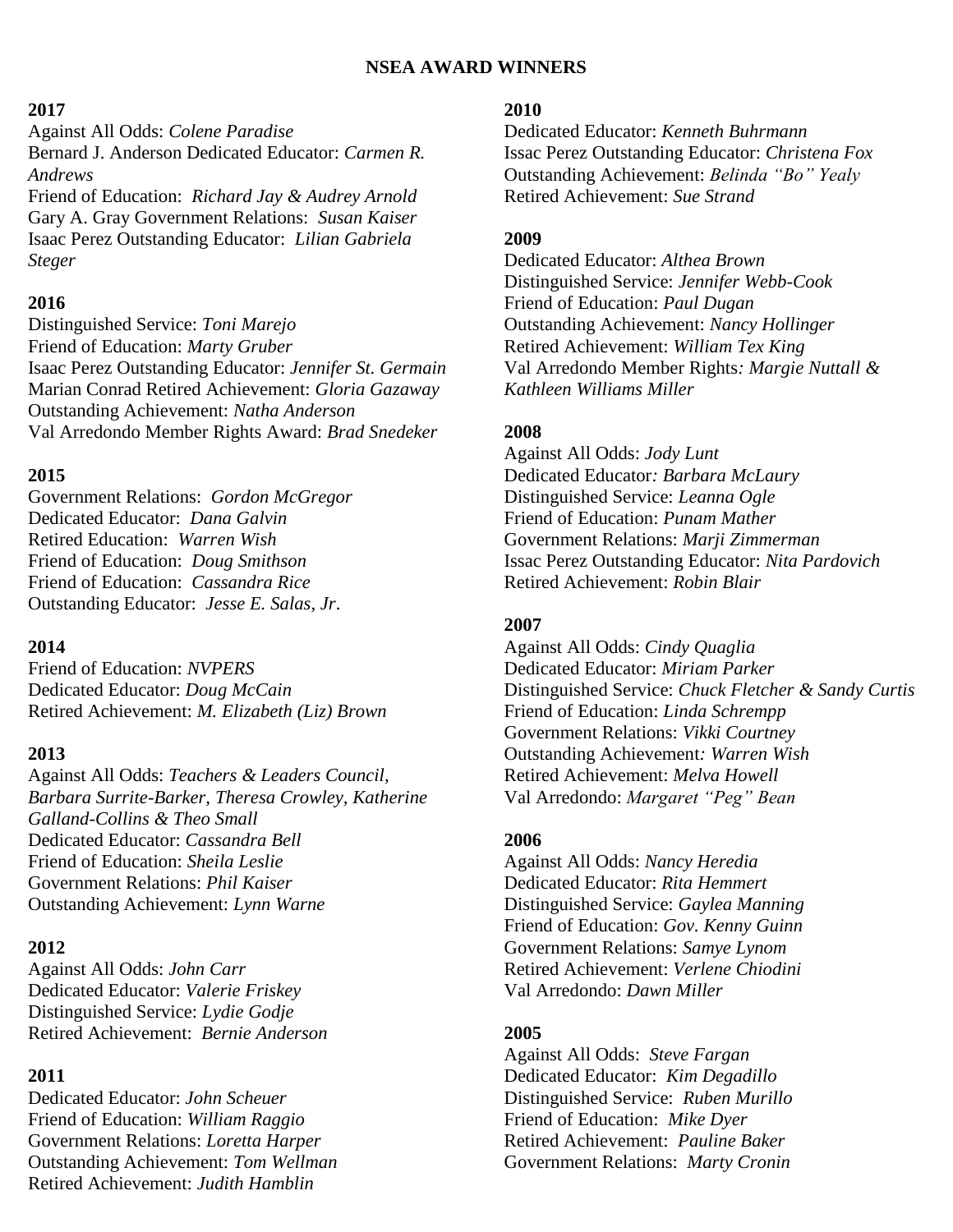## **NSEA AWARD WINNERS**

### **2017**

Against All Odds: *Colene Paradise* Bernard J. Anderson Dedicated Educator: *Carmen R. Andrews* Friend of Education: *Richard Jay & Audrey Arnold*

Gary A. Gray Government Relations: *Susan Kaiser* Isaac Perez Outstanding Educator: *Lilian Gabriela Steger*

## **2016**

Distinguished Service: *Toni Marejo* Friend of Education: *Marty Gruber* Isaac Perez Outstanding Educator: *Jennifer St. Germain* Marian Conrad Retired Achievement: *Gloria Gazaway* Outstanding Achievement: *Natha Anderson* Val Arredondo Member Rights Award: *Brad Snedeker*

## **2015**

Government Relations: *Gordon McGregor* Dedicated Educator: *Dana Galvin* Retired Education: *Warren Wish* Friend of Education: *Doug Smithson* Friend of Education: *Cassandra Rice* Outstanding Educator: *Jesse E. Salas, Jr*.

## **2014**

Friend of Education: *NVPERS* Dedicated Educator: *Doug McCain* Retired Achievement: *M. Elizabeth (Liz) Brown*

# **2013**

Against All Odds: *Teachers & Leaders Council, Barbara Surrite-Barker, Theresa Crowley, Katherine Galland-Collins & Theo Small* Dedicated Educator: *Cassandra Bell* Friend of Education: *Sheila Leslie* Government Relations: *Phil Kaiser* Outstanding Achievement: *Lynn Warne*

# **2012**

Against All Odds: *John Carr* Dedicated Educator: *Valerie Friskey* Distinguished Service: *Lydie Godje* Retired Achievement: *Bernie Anderson* 

# **2011**

Dedicated Educator: *John Scheuer* Friend of Education: *William Raggio* Government Relations: *Loretta Harper* Outstanding Achievement: *Tom Wellman* Retired Achievement: *Judith Hamblin*

### **2010**

Dedicated Educator: *Kenneth Buhrmann* Issac Perez Outstanding Educator: *Christena Fox* Outstanding Achievement: *Belinda "Bo" Yealy* Retired Achievement: *Sue Strand*

## **2009**

Dedicated Educator: *Althea Brown* Distinguished Service: *Jennifer Webb-Cook* Friend of Education: *Paul Dugan* Outstanding Achievement: *Nancy Hollinger* Retired Achievement: *William Tex King* Val Arredondo Member Rights*: Margie Nuttall & Kathleen Williams Miller*

# **2008**

Against All Odds: *Jody Lunt* Dedicated Educator*: Barbara McLaury* Distinguished Service: *Leanna Ogle* Friend of Education: *Punam Mather* Government Relations: *Marji Zimmerman*  Issac Perez Outstanding Educator: *Nita Pardovich* Retired Achievement: *Robin Blair*

# **2007**

Against All Odds: *Cindy Quaglia* Dedicated Educator: *Miriam Parker* Distinguished Service: *Chuck Fletcher & Sandy Curtis* Friend of Education: *Linda Schrempp* Government Relations: *Vikki Courtney* Outstanding Achievement*: Warren Wish* Retired Achievement: *Melva Howell* Val Arredondo: *Margaret "Peg" Bean*

# **2006**

Against All Odds: *Nancy Heredia* Dedicated Educator: *Rita Hemmert* Distinguished Service: *Gaylea Manning* Friend of Education: *Gov. Kenny Guinn* Government Relations: *Samye Lynom* Retired Achievement: *Verlene Chiodini* Val Arredondo: *Dawn Miller*

# **2005**

Against All Odds: *Steve Fargan* Dedicated Educator: *Kim Degadillo* Distinguished Service: *Ruben Murillo* Friend of Education: *Mike Dyer* Retired Achievement: *Pauline Baker* Government Relations: *Marty Cronin*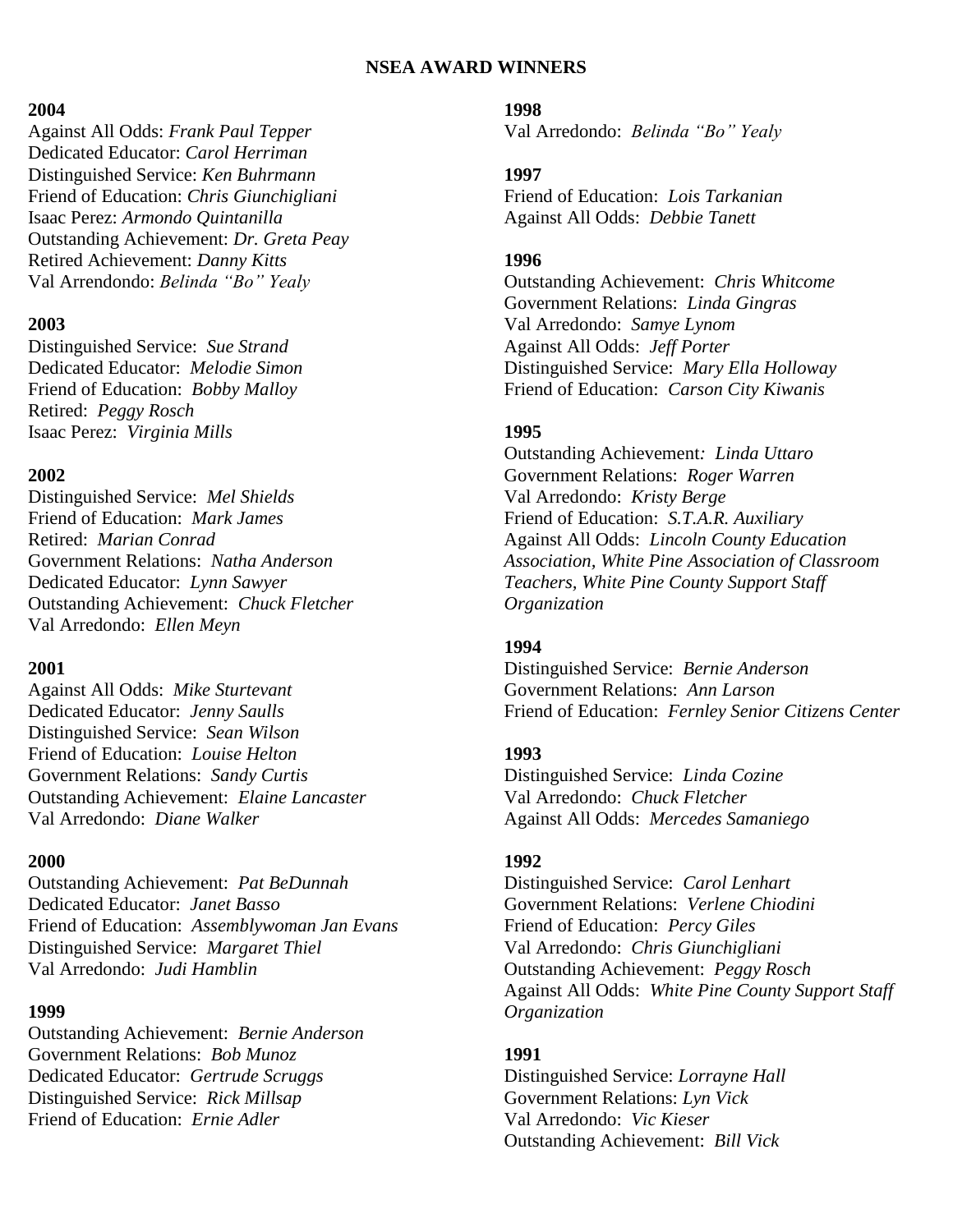### **NSEA AWARD WINNERS**

#### **2004**

Against All Odds: *Frank Paul Tepper* Dedicated Educator: *Carol Herriman* Distinguished Service: *Ken Buhrmann* Friend of Education: *Chris Giunchigliani* Isaac Perez: *Armondo Quintanilla* Outstanding Achievement: *Dr. Greta Peay* Retired Achievement: *Danny Kitts* Val Arrendondo: *Belinda "Bo" Yealy*

#### **2003**

Distinguished Service: *Sue Strand* Dedicated Educator: *Melodie Simon* Friend of Education: *Bobby Malloy* Retired: *Peggy Rosch* Isaac Perez: *Virginia Mills*

### **2002**

Distinguished Service: *Mel Shields* Friend of Education: *Mark James* Retired: *Marian Conrad* Government Relations: *Natha Anderson* Dedicated Educator: *Lynn Sawyer* Outstanding Achievement: *Chuck Fletcher* Val Arredondo: *Ellen Meyn*

## **2001**

Against All Odds: *Mike Sturtevant* Dedicated Educator: *Jenny Saulls* Distinguished Service: *Sean Wilson* Friend of Education: *Louise Helton* Government Relations: *Sandy Curtis* Outstanding Achievement: *Elaine Lancaster* Val Arredondo: *Diane Walker*

#### **2000**

Outstanding Achievement: *Pat BeDunnah* Dedicated Educator: *Janet Basso* Friend of Education: *Assemblywoman Jan Evans* Distinguished Service: *Margaret Thiel* Val Arredondo: *Judi Hamblin*

#### **1999**

Outstanding Achievement: *Bernie Anderson* Government Relations: *Bob Munoz* Dedicated Educator: *Gertrude Scruggs* Distinguished Service: *Rick Millsap* Friend of Education: *Ernie Adler*

### **1998**

Val Arredondo: *Belinda "Bo" Yealy*

# **1997**

Friend of Education: *Lois Tarkanian* Against All Odds: *Debbie Tanett*

### **1996**

Outstanding Achievement: *Chris Whitcome* Government Relations: *Linda Gingras* Val Arredondo: *Samye Lynom* Against All Odds: *Jeff Porter* Distinguished Service: *Mary Ella Holloway* Friend of Education: *Carson City Kiwanis*

### **1995**

Outstanding Achievement*: Linda Uttaro* Government Relations: *Roger Warren* Val Arredondo: *Kristy Berge* Friend of Education: *S.T.A.R. Auxiliary* Against All Odds: *Lincoln County Education Association, White Pine Association of Classroom Teachers, White Pine County Support Staff Organization*

#### **1994**

Distinguished Service: *Bernie Anderson* Government Relations: *Ann Larson* Friend of Education: *Fernley Senior Citizens Center*

#### **1993**

Distinguished Service: *Linda Cozine* Val Arredondo: *Chuck Fletcher* Against All Odds: *Mercedes Samaniego*

#### **1992**

Distinguished Service: *Carol Lenhart* Government Relations: *Verlene Chiodini* Friend of Education: *Percy Giles* Val Arredondo: *Chris Giunchigliani* Outstanding Achievement: *Peggy Rosch* Against All Odds: *White Pine County Support Staff Organization*

### **1991**

Distinguished Service: *Lorrayne Hall* Government Relations: *Lyn Vick* Val Arredondo: *Vic Kieser* Outstanding Achievement: *Bill Vick*